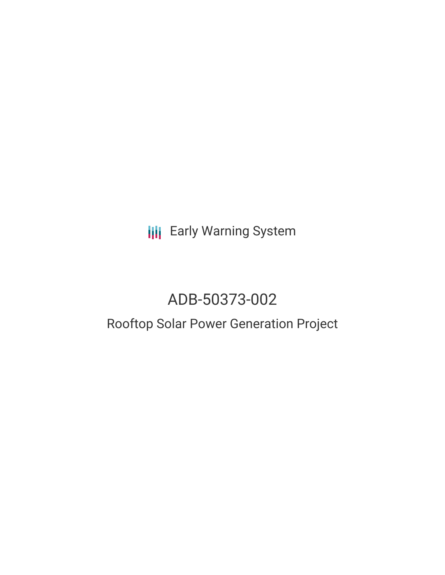**III** Early Warning System

# ADB-50373-002

# Rooftop Solar Power Generation Project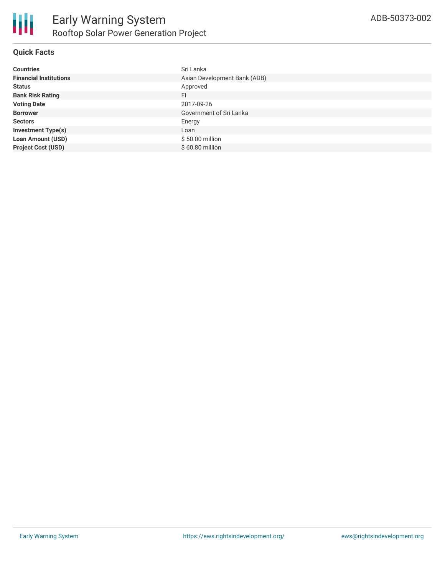

## **Quick Facts**

| <b>Countries</b>              | Sri Lanka                    |
|-------------------------------|------------------------------|
| <b>Financial Institutions</b> | Asian Development Bank (ADB) |
| <b>Status</b>                 | Approved                     |
| <b>Bank Risk Rating</b>       | FI.                          |
| <b>Voting Date</b>            | 2017-09-26                   |
| <b>Borrower</b>               | Government of Sri Lanka      |
| <b>Sectors</b>                | Energy                       |
| <b>Investment Type(s)</b>     | Loan                         |
| <b>Loan Amount (USD)</b>      | \$50.00 million              |
| <b>Project Cost (USD)</b>     | \$60.80 million              |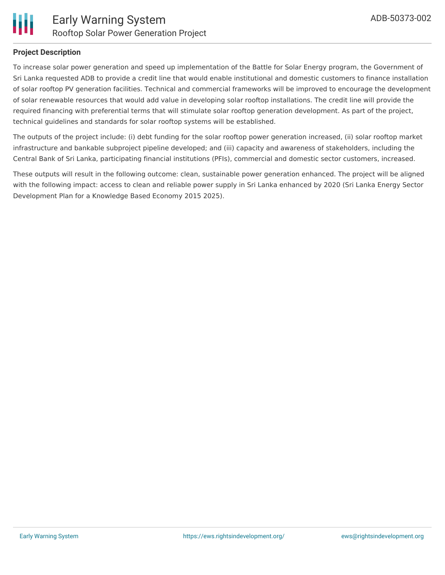

### **Project Description**

To increase solar power generation and speed up implementation of the Battle for Solar Energy program, the Government of Sri Lanka requested ADB to provide a credit line that would enable institutional and domestic customers to finance installation of solar rooftop PV generation facilities. Technical and commercial frameworks will be improved to encourage the development of solar renewable resources that would add value in developing solar rooftop installations. The credit line will provide the required financing with preferential terms that will stimulate solar rooftop generation development. As part of the project, technical guidelines and standards for solar rooftop systems will be established.

The outputs of the project include: (i) debt funding for the solar rooftop power generation increased, (ii) solar rooftop market infrastructure and bankable subproject pipeline developed; and (iii) capacity and awareness of stakeholders, including the Central Bank of Sri Lanka, participating financial institutions (PFIs), commercial and domestic sector customers, increased.

These outputs will result in the following outcome: clean, sustainable power generation enhanced. The project will be aligned with the following impact: access to clean and reliable power supply in Sri Lanka enhanced by 2020 (Sri Lanka Energy Sector Development Plan for a Knowledge Based Economy 2015 2025).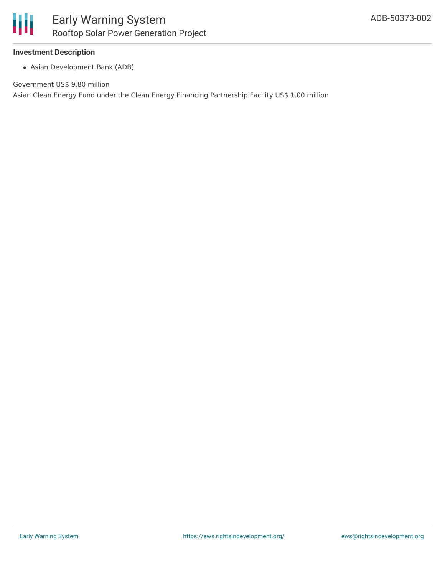

#### **Investment Description**

Asian Development Bank (ADB)

Government US\$ 9.80 million

Asian Clean Energy Fund under the Clean Energy Financing Partnership Facility US\$ 1.00 million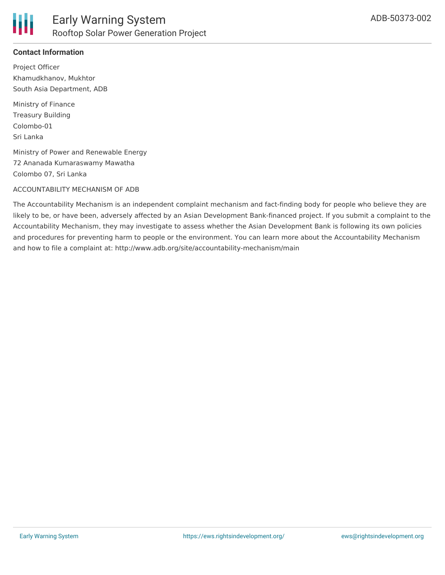

# **Contact Information**

Project Officer Khamudkhanov, Mukhtor South Asia Department, ADB

Ministry of Finance Treasury Building Colombo-01 Sri Lanka

Ministry of Power and Renewable Energy 72 Ananada Kumaraswamy Mawatha Colombo 07, Sri Lanka

#### ACCOUNTABILITY MECHANISM OF ADB

The Accountability Mechanism is an independent complaint mechanism and fact-finding body for people who believe they are likely to be, or have been, adversely affected by an Asian Development Bank-financed project. If you submit a complaint to the Accountability Mechanism, they may investigate to assess whether the Asian Development Bank is following its own policies and procedures for preventing harm to people or the environment. You can learn more about the Accountability Mechanism and how to file a complaint at: http://www.adb.org/site/accountability-mechanism/main